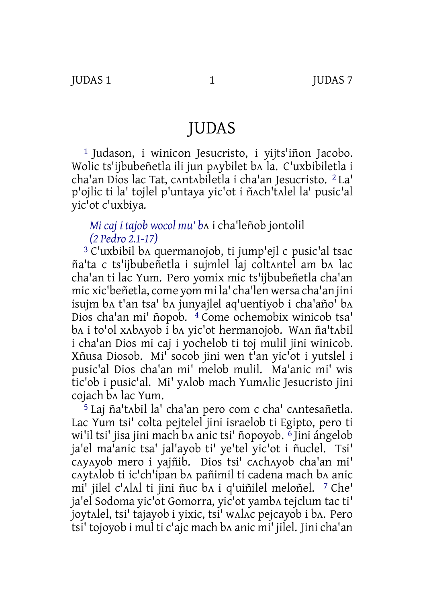# JUDAS

1 Judason, i winicon Jesucristo, i yijts'iñon Jacobo. Wolic ts'ijbubeñetla ili jun pʌybilet bʌ la. C'uxbibiletla i cha'an Dios lac Tat, cʌntʌbiletla i cha'an Jesucristo. 2 La' p'ojlic ti la' tojlel p'untaya yic'ot i ñʌch'tʌlel la' pusic'al yic'ot c'uxbiya.

## *Mi caj i tajob wocol mu' b*ʌ i cha'leñob jontolil *(2 Pedro 2.1‑17)*

3 C'uxbibil bʌ quermanojob, ti jump'ejl c pusic'al tsac ña'ta c ts'ijbubeñetla i sujmlel laj coltʌntel am bʌ lac cha'an ti lac Yum. Pero yomix mic ts'ijbubeñetla cha'an mic xic'beñetla, come yom mi la' cha'len wersa cha'an jini isujm bʌ t'an tsa' bʌ junyajlel aq'uentiyob i cha'año' bʌ Dios cha'an mi' ñopob. 4 Come ochemobix winicob tsa' bʌ i to'ol xʌbʌyob i bʌ yic'ot hermanojob. Wʌn ña'tʌbil i cha'an Dios mi caj i yochelob ti toj mulil jini winicob. Xñusa Diosob. Mi' socob jini wen t'an yic'ot i yutslel i pusic'al Dios cha'an mi' melob mulil. Ma'anic mi' wis tic'ob i pusic'al. Mi' yʌlob mach Yumʌlic Jesucristo jini cojach bʌ lac Yum.

5 Laj ña'tʌbil la' cha'an pero com c cha' cʌntesañetla. Lac Yum tsi' colta pejtelel jini israelob ti Egipto, pero ti wi'il tsi' jisa jini mach bʌ anic tsi' ñopoyob. 6 Jini ángelob ja'el ma'anic tsa' jal'ayob ti' ye'tel yic'ot i ñuclel. Tsi' cʌyʌyob mero i yajñib. Dios tsi' cʌchʌyob cha'an mi' cʌytʌlob ti ic'ch'ipan bʌ pañimil ti cadena mach bʌ anic mi' jilel c'ʌlʌl ti jini ñuc bʌ i q'uiñilel meloñel. 7 Che' ja'el Sodoma yic'ot Gomorra, yic'ot yambʌ tejclum tac ti' joytʌlel, tsi' tajayob i yixic, tsi' wʌlʌc pejcayob i bʌ. Pero tsi' tojoyob i mul ti c'ajc mach bʌ anic mi' jilel. Jini cha'an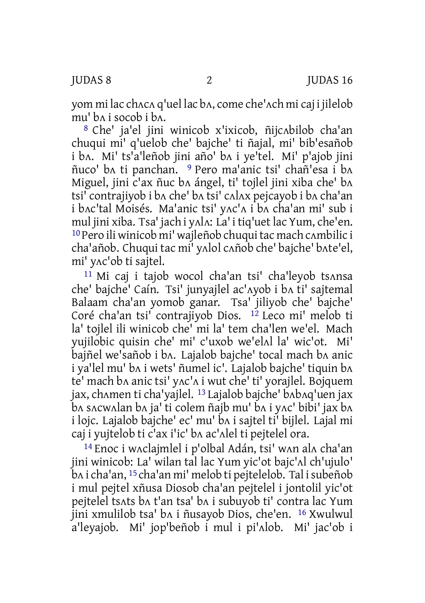yom mi lac chʌcʌ q'uel lac bʌ, come che'ʌch mi caj i jilelob mu' bʌ i socob i bʌ.

8 Che' ja'el jini winicob x'ixicob, ñijcʌbilob cha'an chuqui mi' q'uelob che' bajche' ti ñajal, mi' bib'esañob i bʌ. Mi' ts'a'leñob jini año' bʌ i ye'tel. Mi' p'ajob jini ñuco' bʌ ti panchan. 9 Pero ma'anic tsi' chañ'esa i bʌ Miguel, jini c'ax ñuc bʌ ángel, ti' tojlel jini xiba che' bʌ tsi' contrajiyob i bʌ che' bʌ tsi' cʌlʌx pejcayob i bʌ cha'an i bʌc'tal Moisés. Ma'anic tsi' yʌc'ʌ i bʌ cha'an mi' sub i mul jini xiba. Tsa' jach i yʌlʌ: La' i tiq'uet lac Yum, che'en. 10Pero ili winicob mi' wajleñob chuquitac mach cʌmbilic i cha'añob. Chuqui tac mi' yʌlol cʌñob che' bajche' bʌte'el, mi' yʌc'ob ti sajtel.

11 Mi caj i tajob wocol cha'an tsi' cha'leyob tsʌnsa che' bajche' Caín. Tsi' junyajlel ac'ʌyob i bʌ ti' sajtemal Balaam cha'an yomob ganar. Tsa' jiliyob che' bajche' Coré cha'an tsi' contrajiyob Dios. 12 Leco mi' melob ti la' tojlel ili winicob che' mi la' tem cha'len we'el. Mach yujilobic quisin che' mi' c'uxob we'elʌl la' wic'ot. Mi' bajñel we'sañob i bʌ. Lajalob bajche' tocal mach bʌ anic i ya'lel mu' bʌ i wets' ñumel ic'. Lajalob bajche' tiquin bʌ te' mach bʌ anic tsi' yʌc'ʌ i wut che' ti' yorajlel. Bojquem jax, chʌmen ti cha'yajlel. 13 Lajalob bajche' bʌbʌq'uen jax bʌ sʌcwʌlan bʌ ja' ti colem ñajb mu' bʌ i yʌc' bibi' jax bʌ i lojc. Lajalob bajche' ec' mu' bʌ i sajtel ti' bijlel. Lajal mi caj i yujtelob ti c'ax i'ic' bʌ ac'ʌlel ti pejtelel ora.

14 Enoc i wʌclajmlel i p'olbal Adán, tsi' wʌn alʌ cha'an jini winicob: La' wilan tal lac Yum yic'ot bajc'ʌl ch'ujulo' bʌ i cha'an, 15 cha'an mi' melob ti pejtelelob. Tal isubeñob i mul pejtel xñusa Diosob cha'an pejtelel i jontolil yic'ot pejtelel tsʌts bʌ t'an tsa' bʌ i subuyob ti' contra lac Yum jini xmulilob tsa' bʌ i ñusayob Dios, che'en. 16 Xwulwul a'leyajob. Mi' jop'beñob i mul i pi'ʌlob. Mi' jac'ob i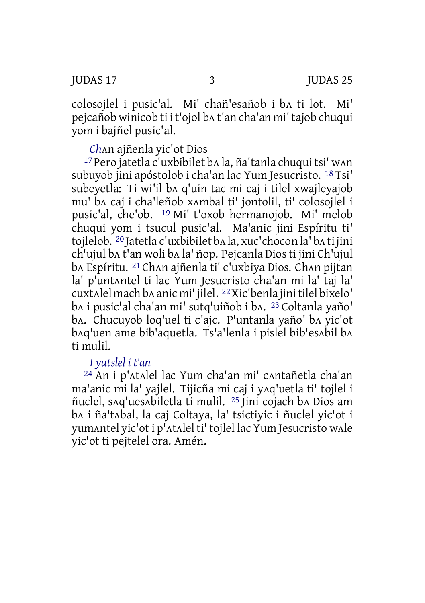colosojlel i pusic'al. Mi' chañ'esañob i bʌ ti lot. Mi' pejcañob winicob ti i t'ojol bʌ t'an cha'an mi' tajob chuqui yom i bajñel pusic'al.

*Ch*ʌn ajñenla yic'ot Dios

17 Pero jatetla c'uxbibilet bʌ la, ña'tanla chuqui tsi' wʌn subuyob jini apóstolob i cha'an lac Yum Jesucristo. 18 Tsi' subeyetla: Ti wi'il bʌ q'uin tac mi caj i tilel xwajleyajob mu' bʌ caj i cha'leñob xʌmbal ti' jontolil, ti' colosojlel i pusic'al, che'ob. 19 Mi' t'oxob hermanojob. Mi' melob chuqui yom i tsucul pusic'al. Ma'anic jini Espíritu ti' tojlelob. 20 Jatetla c'uxbibilet bʌ la, xuc'chocon la' bʌ ti jini ch'ujul bʌ t'an woli bʌ la' ñop. Pejcanla Dios ti jini Ch'ujul bʌ Espíritu. 21 Chʌn ajñenla ti' c'uxbiya Dios. Chʌn pijtan la' p'untʌntel ti lac Yum Jesucristo cha'an mi la' taj la' cuxtʌlel mach bʌ anic mi' jilel. 22Xic'benla jinitilel bixelo' bʌ i pusic'al cha'an mi' sutq'uiñob i bʌ. 23 Coltanla yaño' bʌ. Chucuyob loq'uel ti c'ajc. P'untanla yaño' bʌ yic'ot bʌq'uen ame bib'aquetla. Ts'a'lenla i pislel bib'esʌbil bʌ ti mulil.

### *I yutslel i t'an*

24 An i p'ʌtʌlel lac Yum cha'an mi' cʌntañetla cha'an ma'anic mi la' yajlel. Tijicña mi caj i yʌq'uetla ti' tojlel i ñuclel, sʌq'uesʌbiletla ti mulil. 25 Jini cojach bʌ Dios am bʌ i ña'tʌbal, la caj Coltaya, la' tsictiyic i ñuclel yic'ot i yumʌntel yic'ot i p'ʌtʌlel ti' tojlel lac Yum Jesucristo wʌle yic'ot ti pejtelel ora. Amén.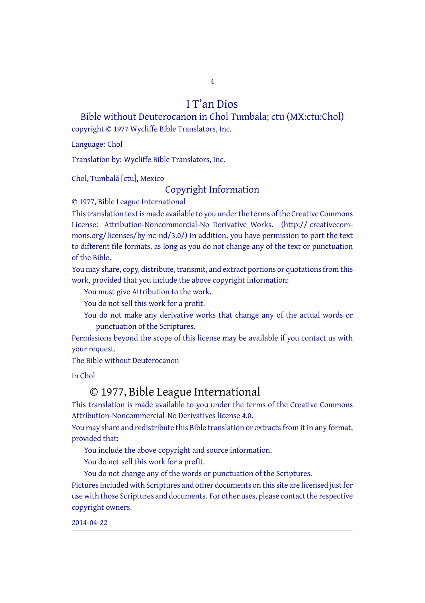4

#### I T'an Dios

Bible without Deuterocanon in Chol Tumbala; ctu (MX:ctu:Chol) copyright © 1977 Wycliffe Bible Translators, Inc.

Language: Chol

Translation by: Wycliffe Bible Translators, Inc.

Chol, Tumbalá [ctu], Mexico

#### Copyright Information

© 1977, Bible League International

This translation text is made available to you under the terms of the Creative [Commons](http://creativecommons.org/licenses/by-nc-nd/4.0/) License: Attribution-Noncommercial-No Derivative Works. (http:// creativecommons.org/licenses/by-nc-nd/3.0/) In addition, you have permission to port the text to different file formats, as long as you do not change any of the text or punctuation of the Bible.

You may share, copy, distribute, transmit, and extract portions or quotations from this work, provided that you include the above copyright information:

You must give Attribution to the work.

You do not sell this work for a profit.

You do not make any derivative works that change any of the actual words or punctuation of the Scriptures.

Permissions beyond the scope of this license may be available if you contact us with your request.

The Bible without Deuterocanon

in Chol

#### © 1977, Bible League International

This translation is made available to you under the terms of the Creative Commons Attribution-Noncommercial-No Derivatives license 4.0.

You may share and redistribute this Bible translation or extracts from it in any format, provided that:

You include the above copyright and source information.

You do not sell this work for a profit.

You do not change any of the words or punctuation of the Scriptures.

Pictures included with Scriptures and other documents on this site are licensed just for use with those Scriptures and documents. For other uses, please contact the respective copyright owners.

2014-04-22